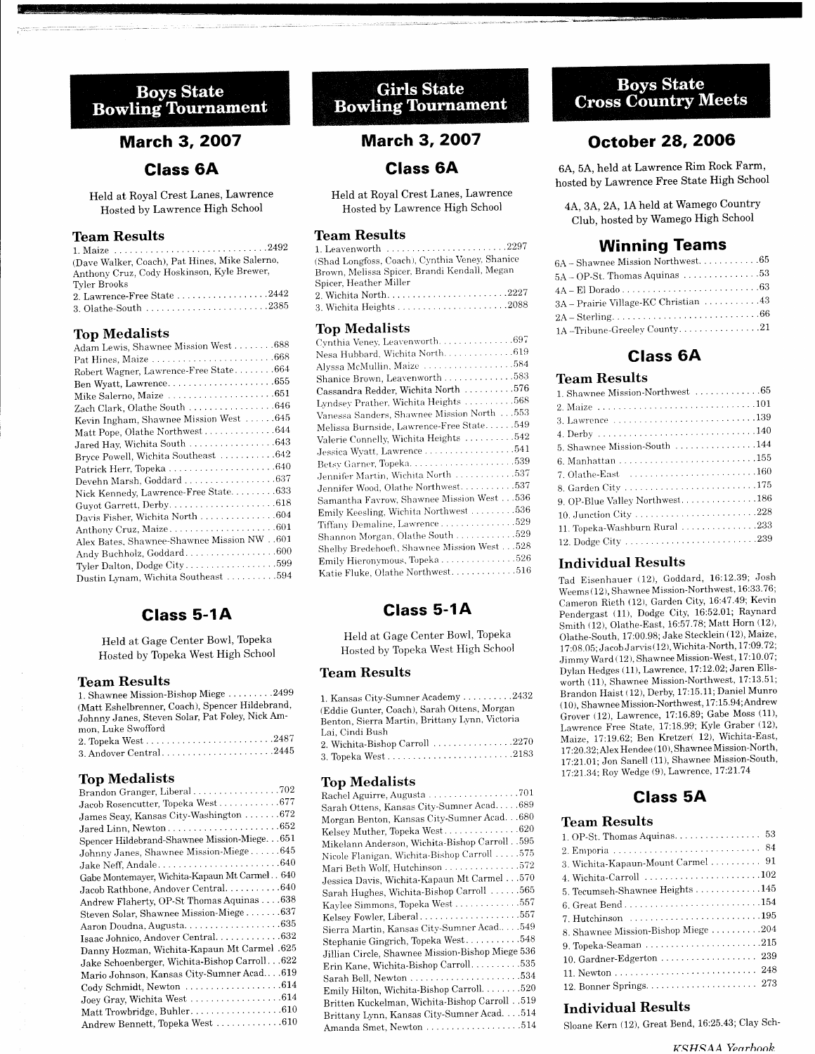## **Boys State Bowling Tournament**

## **March 3, 2007**

### Class 6A

Held at Royal Crest Lanes, Lawrence Hosted by Lawrence High School

### Team Results

| (Dave Walker, Coach), Pat Hines, Mike Salerno, |
|------------------------------------------------|
| Anthony Cruz, Cody Hoskinson, Kyle Brewer,     |
| Tyler Brooks                                   |
|                                                |
|                                                |

#### Top Medalists

## Class 5-1A

Held at Gage Center Bowl, Topeka Hosted by Topeka West High School

#### Team Results

| 1. Shawnee Mission-Bishop Miege 2499            |
|-------------------------------------------------|
| (Matt Eshelbrenner, Coach), Spencer Hildebrand, |
| Johnny Janes, Steven Solar, Pat Foley, Nick Am- |
| mon, Luke Swofford                              |
|                                                 |

### Top Medalists

| Brandon Granger, Liberal702                    |
|------------------------------------------------|
| Jacob Rosencutter, Topeka West677              |
| James Seay, Kansas City-Washington  672        |
|                                                |
| Spencer Hildebrand-Shawnee Mission-Miege. 651  |
| Johnny Janes, Shawnee Mission-Miege645         |
|                                                |
| Gabe Montemayer, Wichita-Kapaun Mt Carmel 640  |
| Jacob Rathbone, Andover Central. 640           |
| Andrew Flaherty, OP-St Thomas Aquinas 638      |
| Steven Solar, Shawnee Mission-Miege637         |
|                                                |
| Isaac Johnico, Andover Central. 632            |
| Danny Hozman, Wichita-Kapaun Mt Carmel .625    |
| Jake Schoenberger, Wichita-Bishop Carroll. 622 |
| Mario Johnson, Kansas City-Sumner Acad619      |
|                                                |
| Joey Gray, Wichita West 614                    |
| Matt Trowbridge, Buhler610                     |
| Andrew Bennett, Topeka West 610                |
|                                                |

## **Girls State Bowling Tournament**

## **March 3, 2007**

### Glass 6A

Held at Royal Crest Lanes, Lawrence Hosted by Lawrence High School

#### Team Results

| 1. Leavenworth 2297                            |
|------------------------------------------------|
| (Shad Longfoss, Coach), Cynthia Veney, Shanice |
| Brown, Melissa Spicer, Brandi Kendall, Megan   |
| Spicer, Heather Miller                         |
| 2. Wichita North2227                           |
|                                                |

#### Top Medalists

## Glass 5-1A

Held at Gage Center Bowl, Topeka Hosted by Topeka West High School

#### Team Results

| 1. Kansas City-Sumner Academy 2432             |
|------------------------------------------------|
| (Eddie Gunter, Coach), Sarah Ottens, Morgan    |
| Benton, Sierra Martin, Brittany Lynn, Victoria |
| Lai, Cindi Bush                                |
| 2. Wichita-Bishop Carroll 2270                 |
|                                                |

#### Top Medalists

| Sarah Ottens, Kansas City-Sumner Acad689         |
|--------------------------------------------------|
| Morgan Benton, Kansas City-Sumner Acad. 680      |
| Kelsey Muther, Topeka West620                    |
| Mikelann Anderson, Wichita-Bishop Carroll. . 595 |
| Nicole Flanigan, Wichita-Bishop Carroll 575      |
| Mari Beth Wolf, Hutchinson 572                   |
| Jessica Davis, Wichita-Kapaun Mt Carmel 570      |
| Sarah Hughes, Wichita-Bishop Carroll 565         |
| Kaylee Simmons, Topeka West 557                  |
| Kelsey Fowler, Liberal557                        |
| Sierra Martin, Kansas City-Sumner Acad 549       |
| Stephanie Gingrich, Topeka West548               |
| Jillian Circle, Shawnee Mission-Bishop Miege 536 |
| Erin Kane, Wichita-Bishop Carroll. 535           |
|                                                  |
| Emily Hilton, Wichita-Bishop Carroll. 520        |
| Britten Kuckelman, Wichita-Bishop Carroll 519    |
| Brittany Lynn, Kansas City-Sumner Acad. 514      |
|                                                  |
|                                                  |

## **Boys State Cross Country Meets**

## **October 28, 2006**

6A, 5A, held at Lawrence Rim Rock Farm, hosted by Lawrence Free State High School

4A, 3A, 2A, 1A held at Wamego Country Club, hosted bY Wamego High Schooi

### Winning Teams

| $6\mathrm{A}-\mathrm{Shawnee}$ Mission Northwest. 65 |  |  |  |  |  |  |
|------------------------------------------------------|--|--|--|--|--|--|
| $5A - OP-St$ . Thomas Aquinas 53                     |  |  |  |  |  |  |
|                                                      |  |  |  |  |  |  |
| 3A - Prairie Village-KC Christian 43                 |  |  |  |  |  |  |
|                                                      |  |  |  |  |  |  |
| 1A - Tribune-Greeley County21                        |  |  |  |  |  |  |
|                                                      |  |  |  |  |  |  |

### Class 6A

#### Team Results

| 1. Shawnee Mission-Northwest 65                                      |
|----------------------------------------------------------------------|
|                                                                      |
|                                                                      |
|                                                                      |
| 5. Shawnee Mission-South 144                                         |
|                                                                      |
| 7. Olathe-East $\dots\dots\dots\dots\dots\dots\dots\dots\dots\ldots$ |
|                                                                      |
| 9. OP-Blue Valley Northwest186                                       |
|                                                                      |
| 11. Topeka-Washburn Rural 233                                        |
|                                                                      |
|                                                                      |

#### Individual Results

Tad Eisenhauer (12), Goddard, 16:12.39; Josh Weems (12), Shawnee Mission-Northwest, 16:33.76; Cameron Rieth (12), Garden City, 16:47.49; Kevin Pendergast (11), Dodge City, 16:52.01; Raynard<br>Smith (12), Olathe-East, 16:57.78; Matt Horn (12), Olathe-South, 17:00.98; Jake Stecklein (12), Matze, 17:08.05; Jacob Jarvis (12), Wichita-North, 17:09.72; Jimmy Ward (12), Shawnee Mission-West, 17:10.07; Dylan Hedges (11), Lawrence, 17:12.02; Jaren Ellsworth (11), Shawnee Mission-Northwest, 17:13.51; Brandon Haist (12), Derby, 17:15.11; Daniel Munro ( 10), Shawnee Mission-Northwest, 17: 15'94;Andrew Grover (12), Lawrence, 17:16.89; Gabe Moss (11), Lawrence Free State, 17:18.99; Kyle Graber (12), Maize, 17:19.62; Ben Kretzer( 12), Wichita-East, 17 :20.32: Alex Hendee ( 10). Shawnee Mission-North, 17:21.01; Jon Sanell (11), Shawnee Mission-South,  $17:21.34$ ; Roy Wedge (9), Lawrence,  $17:21.74$ 

## Class 5A

### Team Results

| 1. OP-St. Thomas Aquinas. 53                                                |  |
|-----------------------------------------------------------------------------|--|
|                                                                             |  |
| 3. Wichita-Kapaun-Mount Carmel  91                                          |  |
| 4. Wichita-Carroll $\ldots \ldots \ldots \ldots \ldots \ldots \ldots 102$   |  |
| 5. Tecumseh-Shawnee Heights 145                                             |  |
|                                                                             |  |
| 7. Hutchinson $\ldots \ldots \ldots \ldots \ldots \ldots \ldots \ldots 195$ |  |
| 8. Shawnee Mission-Bishop Miege 204                                         |  |
|                                                                             |  |
| 10. Gardner-Edgerton  239                                                   |  |
|                                                                             |  |
|                                                                             |  |
|                                                                             |  |

#### Individual Results

Sloane Kern (12), Great Bend, 16:25.43; Clay Sch-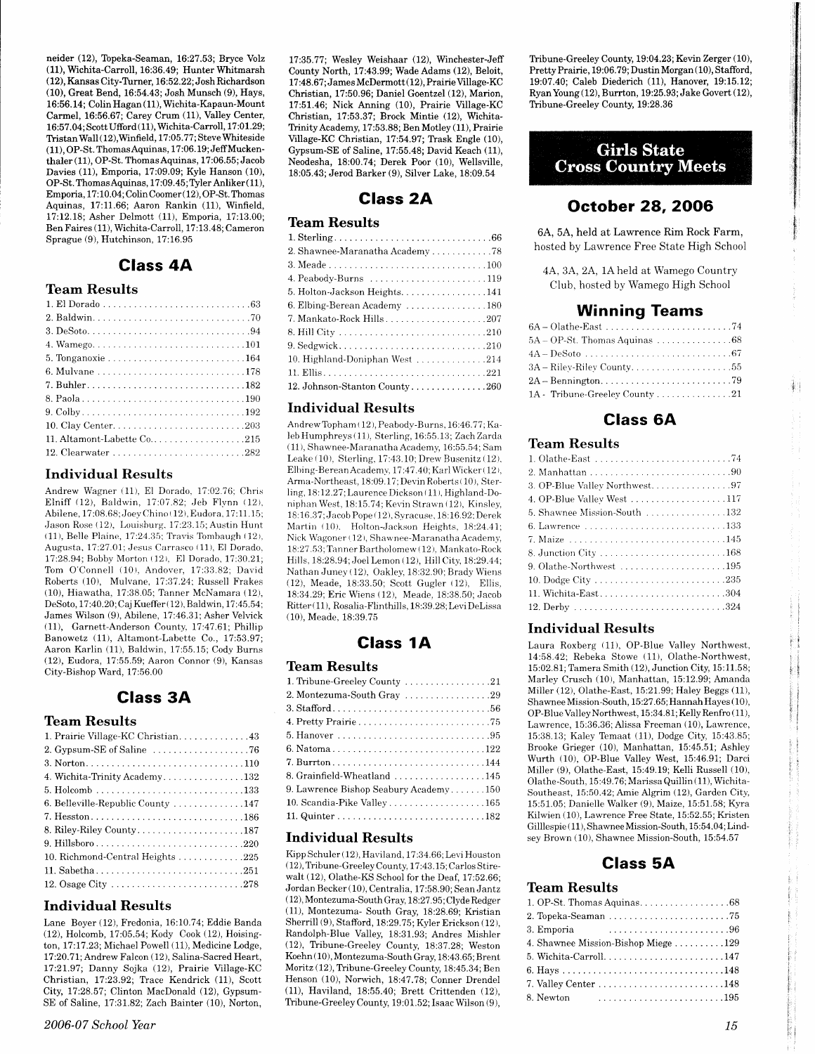neider (12), Topeka-Seaman, 16:27.53; Bryce Volz (11), Wichita-Carroll, 16:36.49; Hunter Whitmarsh (12), Kansas City-Turner, 16:52.22; Josh Richardson (10), Great Bend, 16:54.43; Josh Munsch (9), Hays, 16:56.14; Colin Hagan (11), Wichita-Kapaun-Mount Carmel, 16:56.67; Carey Crum (11), Valley Center, 16:57.04; Scott Ufford (11), Wichita-Carroll, 17:01.29; Tristan Wall (12), Winfield, 17:05.77; Steve Whiteside (11), OP-St. Thomas Aquinas, 17:06.19; Jeff Muckenthaler (11), OP-St. Thomas Aquinas, 17:06.55; Jacob Davies (11), Emporia, 17:09.09; Kyle Hanson (10), OP-St. Thomas Aquinas, 17:09.45; Tyler Anliker (11), Emporia, 17:10.04, Colin Coomer (12), OP-St. Thomas Aquinas, 17:11.66; Aaron Rankin (11), Winfield, 17:12.18: Asher Delmott (11), Emporia, 17:13.00: Ben Faires (11), Wichita-Carroll, 17:13.48; Cameron Sprague (9), Hutchinson, 17:16.95

## **Class 4A**

### **Team Results**

| 6. Mulvane 178             |
|----------------------------|
|                            |
|                            |
|                            |
|                            |
| 11. Altamont-Labette Co215 |
|                            |

#### **Individual Results**

Andrew Wagner (11), El Dorado, 17:02.76; Chris Elniff (12), Baldwin, 17:07.82; Jeb Flynn (12), Abilene, 17:08.68; Joey Chino (12), Eudora, 17:11.15; Jason Rose (12), Louisburg, 17:23.15; Austin Hunt (11), Belle Plaine, 17:24.35; Travis Tombaugh (12), Augusta, 17:27.01; Jesus Carrasco (11), El Dorado. 17:28.94; Bobby Morton (12), El Dorado, 17:30.21; Tom O'Connell (10), Andover, 17:33.82; David Roberts (10), Mulvane, 17:37.24; Russell Frakes (10), Hiawatha, 17:38.05; Tanner McNamara (12), DeSoto, 17:40.20; Caj Kueffer (12), Baldwin, 17:45.54; James Wilson (9), Abilene, 17:46.31; Asher Velvick (11), Garnett-Anderson County, 17:47.61; Phillip Banowetz (11), Altamont-Labette Co., 17:53.97; Aaron Karlin (11), Baldwin, 17:55.15; Cody Burns (12), Eudora, 17:55.59; Aaron Connor (9), Kansas City-Bishop Ward, 17:56.00

### **Class 3A**

#### **Team Results**

| 1. Prairie Village-KC Christian. 43                                     |
|-------------------------------------------------------------------------|
| 2. Gypsum-SE of Saline $\ldots \ldots \ldots \ldots \ldots \ldots$ . 76 |
|                                                                         |
| 4. Wichita-Trinity Academy132                                           |
|                                                                         |
| 6. Belleville-Republic County 147                                       |
|                                                                         |
|                                                                         |
|                                                                         |
| 10. Richmond-Central Heights 225                                        |
|                                                                         |
|                                                                         |

### **Individual Results**

Lane Bover (12), Fredonia, 16:10.74; Eddie Banda (12), Holcomb, 17:05.54; Kody Cook (12), Hoisington, 17:17.23; Michael Powell (11), Medicine Lodge, 17:20.71; Andrew Falcon (12), Salina-Sacred Heart, 17:21.97; Danny Sojka (12), Prairie Village-KC Christian, 17:23.92; Trace Kendrick (11), Scott City, 17:28.57; Clinton MacDonald (12), Gypsum-SE of Saline, 17:31.82; Zach Bainter (10), Norton,

17:35.77; Wesley Weishaar (12), Winchester-Jeff County North, 17:43.99; Wade Adams (12), Beloit, 17:48.67; James McDermott (12), Prairie Village-KC Christian, 17:50.96; Daniel Goentzel (12), Marion, 17:51.46; Nick Anning (10), Prairie Village-KC Christian, 17:53.37; Brock Mintie (12), Wichita-Trinity Academy, 17:53.88; Ben Motley (11), Prairie Village-KC Christian, 17:54.97; Trask Engle (10), Gypsum-SE of Saline, 17:55.48; David Keach (11), Neodesha, 18:00.74; Derek Poor (10), Wellsville, 18:05.43; Jerod Barker (9), Silver Lake, 18:09.54

## **Class 2A**

### **Team Results**

| 2. Shawnee-Maranatha Academy 78 |
|---------------------------------|
|                                 |
|                                 |
| 5. Holton-Jackson Heights. 141  |
| 6. Elbing-Berean Academy 180    |
|                                 |
|                                 |
|                                 |
| 10. Highland-Doniphan West 214  |
|                                 |
| 12. Johnson-Stanton County260   |

### **Individual Results**

Andrew Topham (12), Peabody-Burns, 16:46.77; Kaleb Humphreys (11), Sterling, 16:55.13; Zach Zarda (11), Shawnee-Maranatha Academy, 16:55.54; Sam Leake (10), Sterling, 17:43.10; Drew Busenitz (12), Elbing-Berean Academy, 17:47.40; Karl Wicker (12), Arma-Northeast, 18:09.17; Devin Roberts (10), Sterling, 18:12.27; Laurence Dickson (11), Highland-Doniphan West, 18:15.74; Kevin Strawn (12), Kinsley, 18:16.37; Jacob Pope (12), Syracuse, 18:16.92; Derek Martin (10), Holton-Jackson Heights, 18:24.41; Nick Wagoner (12), Shawnee-Maranatha Academy, 18:27.53; Tanner Bartholomew (12), Mankato-Rock Hills, 18:28.94; Joel Lemon (12). Hill City, 18:29.44; Nathan Juney (12), Oakley, 18:32.90; Brady Wiens (12), Meade, 18:33.50; Scott Gugler (12), Ellis, 18:34.29; Eric Wiens (12), Meade, 18:38.50; Jacob Ritter (11), Rosalia-Flinthills, 18:39.28; Levi DeLissa (10). Meade, 18:39.75

## **Class 1A**

### **Team Results**

| 1. Tribune-Greeley County 21          |
|---------------------------------------|
| 2. Montezuma-South Gray 29            |
|                                       |
|                                       |
|                                       |
| 6. Natoma122                          |
|                                       |
| 8. Grainfield-Wheatland 145           |
| 9. Lawrence Bishop Seabury Academy150 |
| 10. Scandia-Pike Valley 165           |
|                                       |

#### **Individual Results**

Kipp Schuler (12), Haviland, 17:34.66; Levi Houston (12), Tribune-Greeley County, 17:43.15; Carlos Stirewalt (12), Olathe-KS School for the Deaf, 17:52.66; Jordan Becker (10), Centralia, 17:58.90; Sean Jantz (12), Montezuma-South Gray, 18:27.95; Clyde Redger (11), Montezuma- South Gray, 18:28.69; Kristian Sherrill (9), Stafford, 18:29.75; Kyler Erickson (12), Randolph-Blue Valley, 18:31.93; Andres Mishler (12), Tribune-Greeley County, 18:37.28; Weston Koehn (10), Montezuma-South Gray, 18:43.65; Brent Moritz (12), Tribune-Greeley County, 18:45.34; Ben Henson (10), Norwich, 18:47.78; Conner Drendel (11), Haviland, 18:55.40; Brett Crittenden (12), Tribune-Greeley County, 19:01.52; Isaac Wilson (9),

Tribune-Greeley County, 19:04.23; Kevin Zerger (10), Pretty Prairie, 19:06.79; Dustin Morgan (10), Stafford, 19:07.40; Caleb Diederich (11), Hanover, 19:15.12; Ryan Young (12), Burrton, 19:25.93; Jake Govert (12), Tribune-Greeley County, 19:28.36

## **Girls State Cross Country Meets**

## **October 28, 2006**

6A, 5A, held at Lawrence Rim Rock Farm, hosted by Lawrence Free State High School

4A, 3A, 2A, 1A held at Wamego Country Club, hosted by Wamego High School

### **Winning Teams**

| 1A - Tribune-Greeley County 21 |  |
|--------------------------------|--|

## **Class 6A**

#### **Team Results**

| 3. OP-Blue Valley Northwest97 |
|-------------------------------|
| 4. OP-Blue Valley West 117    |
| 5. Shawnee Mission-South 132  |
|                               |
|                               |
|                               |
| 9. Olathe-Northwest 195       |
|                               |
| 11. Wichita-East304           |
|                               |
|                               |

### **Individual Results**

Laura Roxberg (11), OP-Blue Valley Northwest, 14:58.42; Rebeka Stowe (11), Olathe-Northwest, 15:02.81; Tamera Smith (12), Junction City, 15:11.58; Marley Crusch (10), Manhattan, 15:12.99; Amanda Miller (12), Olathe-East, 15:21.99; Haley Beggs (11), Shawnee Mission-South, 15:27.65; Hannah Hayes (10), OP-Blue Valley Northwest, 15:34.81; Kelly Renfro (11), Lawrence, 15:36.36; Alissa Freeman (10), Lawrence, 15:38.13; Kaley Temaat (11), Dodge City, 15:43.85; Brooke Grieger (10), Manhattan, 15:45.51; Ashley Wurth (10), OP-Blue Valley West, 15:46.91; Darci Miller (9), Olathe-East, 15:49.19; Kelli Russell (10), Olathe-South, 15:49.76; Marissa Quillin (11), Wichita-Southeast, 15:50.42; Amie Algrim (12), Garden City, 15:51.05; Danielle Walker (9), Maize, 15:51.58; Kyra Kilwien (10), Lawrence Free State, 15:52.55; Kristen Gilllespie (11), Shawnee Mission-South, 15:54.04; Lindsey Brown (10), Shawnee Mission-South, 15:54.57

## **Class 5A**

### **Team Results**

| 1. OP-St. Thomas Aquinas. $\ldots \ldots \ldots \ldots \ldots \ldots 68$ |
|--------------------------------------------------------------------------|
|                                                                          |
| 3. Emporia                                                               |
| 4. Shawnee Mission-Bishop Miege 129                                      |
|                                                                          |
|                                                                          |
|                                                                          |
| 8. Newton                                                                |